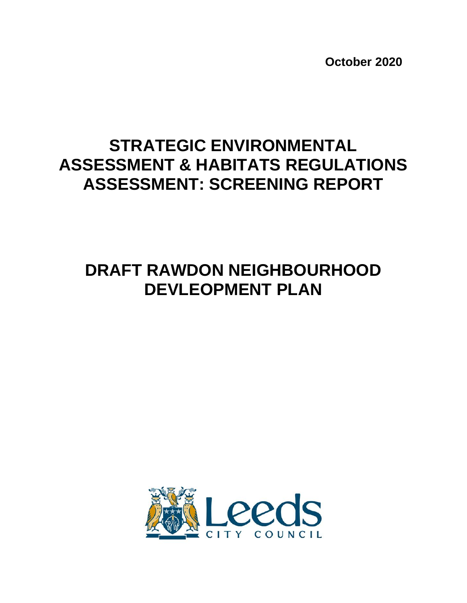**October 2020**

# **STRATEGIC ENVIRONMENTAL ASSESSMENT & HABITATS REGULATIONS ASSESSMENT: SCREENING REPORT**

# **DRAFT RAWDON NEIGHBOURHOOD DEVLEOPMENT PLAN**

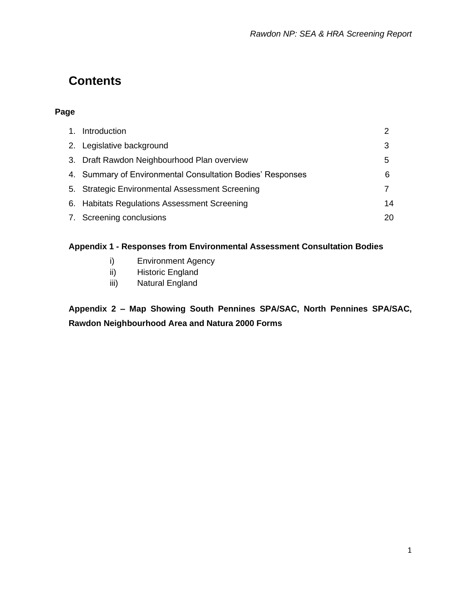## **Contents**

#### **Page**

| 1. Introduction                                            |    |
|------------------------------------------------------------|----|
| 2. Legislative background                                  | 3  |
| 3. Draft Rawdon Neighbourhood Plan overview                | 5  |
| 4. Summary of Environmental Consultation Bodies' Responses | 6  |
| 5. Strategic Environmental Assessment Screening            |    |
| 6. Habitats Regulations Assessment Screening               | 14 |
| 7. Screening conclusions                                   | 20 |

#### **Appendix 1 - Responses from Environmental Assessment Consultation Bodies**

- i) Environment Agency
- ii) Historic England
- iii) Natural England

**Appendix 2 – Map Showing South Pennines SPA/SAC, North Pennines SPA/SAC, Rawdon Neighbourhood Area and Natura 2000 Forms**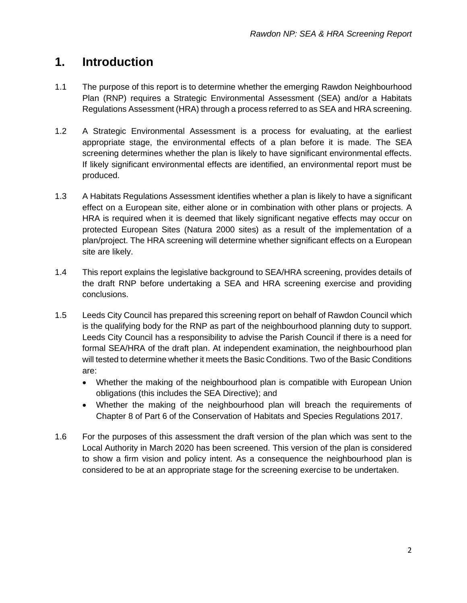## **1. Introduction**

- 1.1 The purpose of this report is to determine whether the emerging Rawdon Neighbourhood Plan (RNP) requires a Strategic Environmental Assessment (SEA) and/or a Habitats Regulations Assessment (HRA) through a process referred to as SEA and HRA screening.
- 1.2 A Strategic Environmental Assessment is a process for evaluating, at the earliest appropriate stage, the environmental effects of a plan before it is made. The SEA screening determines whether the plan is likely to have significant environmental effects. If likely significant environmental effects are identified, an environmental report must be produced.
- 1.3 A Habitats Regulations Assessment identifies whether a plan is likely to have a significant effect on a European site, either alone or in combination with other plans or projects. A HRA is required when it is deemed that likely significant negative effects may occur on protected European Sites (Natura 2000 sites) as a result of the implementation of a plan/project. The HRA screening will determine whether significant effects on a European site are likely.
- 1.4 This report explains the legislative background to SEA/HRA screening, provides details of the draft RNP before undertaking a SEA and HRA screening exercise and providing conclusions.
- 1.5 Leeds City Council has prepared this screening report on behalf of Rawdon Council which is the qualifying body for the RNP as part of the neighbourhood planning duty to support. Leeds City Council has a responsibility to advise the Parish Council if there is a need for formal SEA/HRA of the draft plan. At independent examination, the neighbourhood plan will tested to determine whether it meets the Basic Conditions. Two of the Basic Conditions are:
	- Whether the making of the neighbourhood plan is compatible with European Union obligations (this includes the SEA Directive); and
	- Whether the making of the neighbourhood plan will breach the requirements of Chapter 8 of Part 6 of the Conservation of Habitats and Species Regulations 2017.
- 1.6 For the purposes of this assessment the draft version of the plan which was sent to the Local Authority in March 2020 has been screened. This version of the plan is considered to show a firm vision and policy intent. As a consequence the neighbourhood plan is considered to be at an appropriate stage for the screening exercise to be undertaken.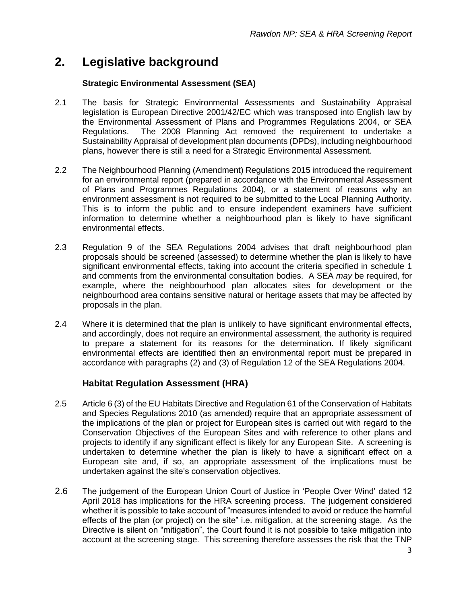### **2. Legislative background**

#### **Strategic Environmental Assessment (SEA)**

- 2.1 The basis for Strategic Environmental Assessments and Sustainability Appraisal legislation is European Directive 2001/42/EC which was transposed into English law by the Environmental Assessment of Plans and Programmes Regulations 2004, or SEA Regulations. The 2008 Planning Act removed the requirement to undertake a Sustainability Appraisal of development plan documents (DPDs), including neighbourhood plans, however there is still a need for a Strategic Environmental Assessment.
- 2.2 The Neighbourhood Planning (Amendment) Regulations 2015 introduced the requirement for an environmental report (prepared in accordance with the Environmental Assessment of Plans and Programmes Regulations 2004), or a statement of reasons why an environment assessment is not required to be submitted to the Local Planning Authority. This is to inform the public and to ensure independent examiners have sufficient information to determine whether a neighbourhood plan is likely to have significant environmental effects.
- 2.3 Regulation 9 of the SEA Regulations 2004 advises that draft neighbourhood plan proposals should be screened (assessed) to determine whether the plan is likely to have significant environmental effects, taking into account the criteria specified in schedule 1 and comments from the environmental consultation bodies. A SEA *may* be required, for example, where the neighbourhood plan allocates sites for development or the neighbourhood area contains sensitive natural or heritage assets that may be affected by proposals in the plan.
- 2.4 Where it is determined that the plan is unlikely to have significant environmental effects, and accordingly, does not require an environmental assessment, the authority is required to prepare a statement for its reasons for the determination. If likely significant environmental effects are identified then an environmental report must be prepared in accordance with paragraphs (2) and (3) of Regulation 12 of the SEA Regulations 2004.

#### **Habitat Regulation Assessment (HRA)**

- 2.5 Article 6 (3) of the EU Habitats Directive and Regulation 61 of the Conservation of Habitats and Species Regulations 2010 (as amended) require that an appropriate assessment of the implications of the plan or project for European sites is carried out with regard to the Conservation Objectives of the European Sites and with reference to other plans and projects to identify if any significant effect is likely for any European Site. A screening is undertaken to determine whether the plan is likely to have a significant effect on a European site and, if so, an appropriate assessment of the implications must be undertaken against the site's conservation objectives.
- 2.6 The judgement of the European Union Court of Justice in 'People Over Wind' dated 12 April 2018 has implications for the HRA screening process. The judgement considered whether it is possible to take account of "measures intended to avoid or reduce the harmful effects of the plan (or project) on the site" i.e. mitigation, at the screening stage. As the Directive is silent on "mitigation", the Court found it is not possible to take mitigation into account at the screening stage. This screening therefore assesses the risk that the TNP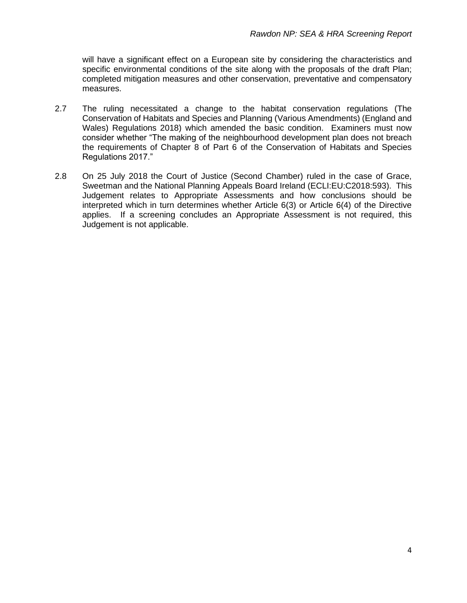will have a significant effect on a European site by considering the characteristics and specific environmental conditions of the site along with the proposals of the draft Plan; completed mitigation measures and other conservation, preventative and compensatory measures.

- 2.7 The ruling necessitated a change to the habitat conservation regulations (The Conservation of Habitats and Species and Planning (Various Amendments) (England and Wales) Regulations 2018) which amended the basic condition. Examiners must now consider whether "The making of the neighbourhood development plan does not breach the requirements of Chapter 8 of Part 6 of the Conservation of Habitats and Species Regulations 2017."
- 2.8 On 25 July 2018 the Court of Justice (Second Chamber) ruled in the case of Grace, Sweetman and the National Planning Appeals Board Ireland (ECLI:EU:C2018:593). This Judgement relates to Appropriate Assessments and how conclusions should be interpreted which in turn determines whether Article 6(3) or Article 6(4) of the Directive applies. If a screening concludes an Appropriate Assessment is not required, this Judgement is not applicable.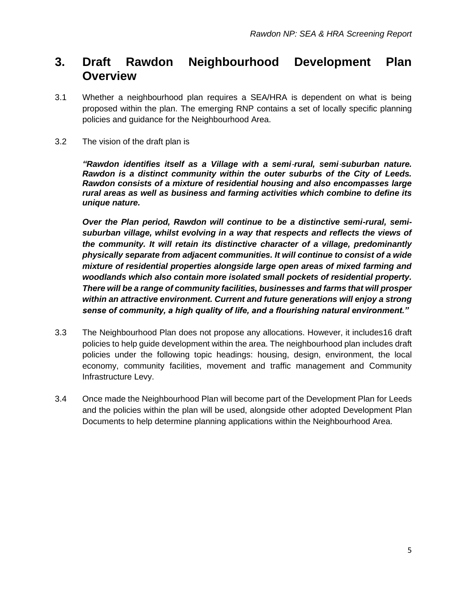## **3. Draft Rawdon Neighbourhood Development Plan Overview**

- 3.1 Whether a neighbourhood plan requires a SEA/HRA is dependent on what is being proposed within the plan. The emerging RNP contains a set of locally specific planning policies and guidance for the Neighbourhood Area.
- 3.2 The vision of the draft plan is

*"Rawdon identifies itself as a Village with a semi*‐*rural, semi*‐*suburban nature. Rawdon is a distinct community within the outer suburbs of the City of Leeds. Rawdon consists of a mixture of residential housing and also encompasses large rural areas as well as business and farming activities which combine to define its unique nature.* 

*Over the Plan period, Rawdon will continue to be a distinctive semi-rural, semisuburban village, whilst evolving in a way that respects and reflects the views of the community. It will retain its distinctive character of a village, predominantly physically separate from adjacent communities. It will continue to consist of a wide mixture of residential properties alongside large open areas of mixed farming and woodlands which also contain more isolated small pockets of residential property. There will be a range of community facilities, businesses and farms that will prosper within an attractive environment. Current and future generations will enjoy a strong sense of community, a high quality of life, and a flourishing natural environment."* 

- 3.3 The Neighbourhood Plan does not propose any allocations. However, it includes16 draft policies to help guide development within the area. The neighbourhood plan includes draft policies under the following topic headings: housing, design, environment, the local economy, community facilities, movement and traffic management and Community Infrastructure Levy.
- 3.4 Once made the Neighbourhood Plan will become part of the Development Plan for Leeds and the policies within the plan will be used, alongside other adopted Development Plan Documents to help determine planning applications within the Neighbourhood Area.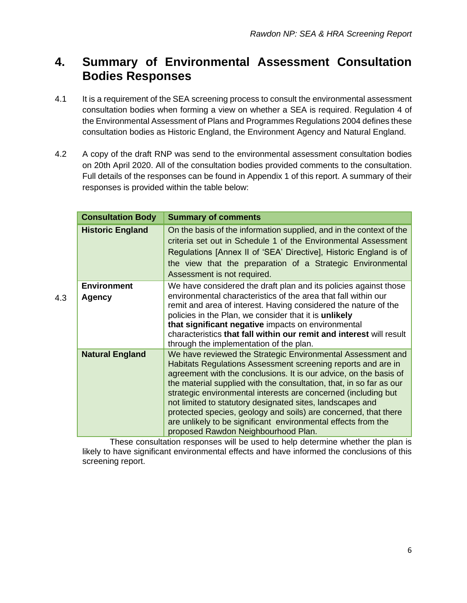## **4. Summary of Environmental Assessment Consultation Bodies Responses**

- 4.1 It is a requirement of the SEA screening process to consult the environmental assessment consultation bodies when forming a view on whether a SEA is required. Regulation 4 of the Environmental Assessment of Plans and Programmes Regulations 2004 defines these consultation bodies as Historic England, the Environment Agency and Natural England.
- 4.2 A copy of the draft RNP was send to the environmental assessment consultation bodies on 20th April 2020. All of the consultation bodies provided comments to the consultation. Full details of the responses can be found in Appendix 1 of this report. A summary of their responses is provided within the table below:

| <b>Consultation Body</b>            | <b>Summary of comments</b>                                                                                                                                                                                                                                                                                                                                                                                                                                                                                                                                                        |
|-------------------------------------|-----------------------------------------------------------------------------------------------------------------------------------------------------------------------------------------------------------------------------------------------------------------------------------------------------------------------------------------------------------------------------------------------------------------------------------------------------------------------------------------------------------------------------------------------------------------------------------|
| <b>Historic England</b>             | On the basis of the information supplied, and in the context of the<br>criteria set out in Schedule 1 of the Environmental Assessment<br>Regulations [Annex II of 'SEA' Directive], Historic England is of<br>the view that the preparation of a Strategic Environmental<br>Assessment is not required.                                                                                                                                                                                                                                                                           |
| <b>Environment</b><br><b>Agency</b> | We have considered the draft plan and its policies against those<br>environmental characteristics of the area that fall within our<br>remit and area of interest. Having considered the nature of the<br>policies in the Plan, we consider that it is unlikely<br>that significant negative impacts on environmental<br>characteristics that fall within our remit and interest will result<br>through the implementation of the plan.                                                                                                                                            |
| <b>Natural England</b>              | We have reviewed the Strategic Environmental Assessment and<br>Habitats Regulations Assessment screening reports and are in<br>agreement with the conclusions. It is our advice, on the basis of<br>the material supplied with the consultation, that, in so far as our<br>strategic environmental interests are concerned (including but<br>not limited to statutory designated sites, landscapes and<br>protected species, geology and soils) are concerned, that there<br>are unlikely to be significant environmental effects from the<br>proposed Rawdon Neighbourhood Plan. |

4.3

These consultation responses will be used to help determine whether the plan is likely to have significant environmental effects and have informed the conclusions of this screening report.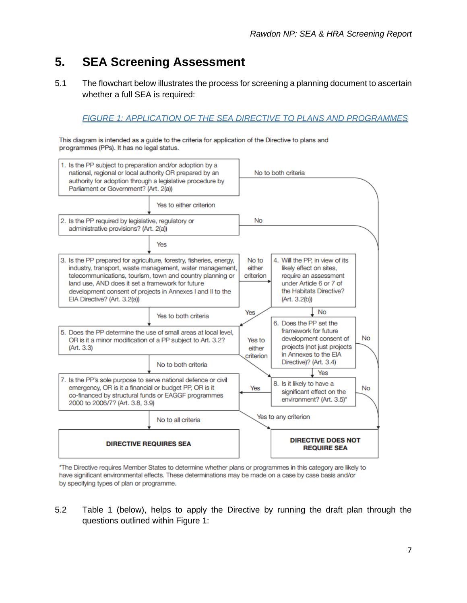## **5. SEA Screening Assessment**

5.1 The flowchart below illustrates the process for screening a planning document to ascertain whether a full SEA is required:

#### *FIGURE 1: APPLICATION OF THE SEA DIRECTIVE TO PLANS AND PROGRAMMES*

This diagram is intended as a guide to the criteria for application of the Directive to plans and programmes (PPs). It has no legal status.



\*The Directive requires Member States to determine whether plans or programmes in this category are likely to have significant environmental effects. These determinations may be made on a case by case basis and/or by specifying types of plan or programme.

5.2 Table 1 (below), helps to apply the Directive by running the draft plan through the questions outlined within Figure 1: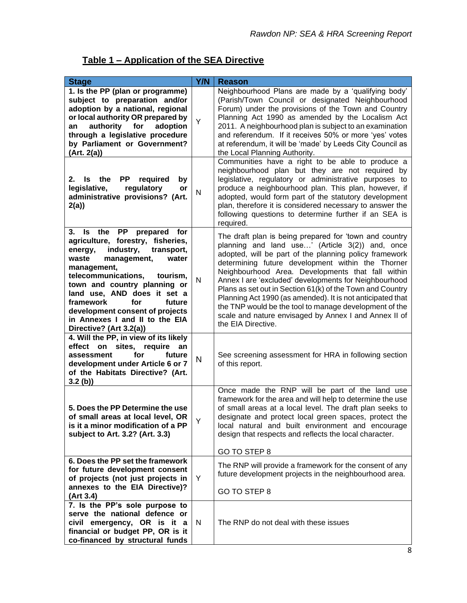| Table 1 – Application of the SEA Directive |
|--------------------------------------------|
|--------------------------------------------|

| <b>Stage</b>                                                                                                                                                                                                                                                                                                                                                                                      | Y/N          | <b>Reason</b>                                                                                                                                                                                                                                                                                                                                                                                                                                                                                                                                                                                              |
|---------------------------------------------------------------------------------------------------------------------------------------------------------------------------------------------------------------------------------------------------------------------------------------------------------------------------------------------------------------------------------------------------|--------------|------------------------------------------------------------------------------------------------------------------------------------------------------------------------------------------------------------------------------------------------------------------------------------------------------------------------------------------------------------------------------------------------------------------------------------------------------------------------------------------------------------------------------------------------------------------------------------------------------------|
| 1. Is the PP (plan or programme)<br>subject to preparation and/or<br>adoption by a national, regional<br>or local authority OR prepared by<br>authority<br>for<br>adoption<br>an<br>through a legislative procedure<br>by Parliament or Government?<br>(Art. 2(a))                                                                                                                                | Y            | Neighbourhood Plans are made by a 'qualifying body'<br>(Parish/Town Council or designated Neighbourhood<br>Forum) under the provisions of the Town and Country<br>Planning Act 1990 as amended by the Localism Act<br>2011. A neighbourhood plan is subject to an examination<br>and referendum. If it receives 50% or more 'yes' votes<br>at referendum, it will be 'made' by Leeds City Council as<br>the Local Planning Authority.                                                                                                                                                                      |
| Is<br>the<br><b>PP</b><br>required<br>2.<br>by<br>legislative,<br>regulatory<br>or<br>administrative provisions? (Art.<br>2(a)                                                                                                                                                                                                                                                                    | N            | Communities have a right to be able to produce a<br>neighbourhood plan but they are not required by<br>legislative, regulatory or administrative purposes to<br>produce a neighbourhood plan. This plan, however, if<br>adopted, would form part of the statutory development<br>plan, therefore it is considered necessary to answer the<br>following questions to determine further if an SEA is<br>required.                                                                                                                                                                                            |
| 3. Is the<br><b>PP</b><br>prepared<br>for<br>agriculture, forestry, fisheries,<br>industry,<br>transport,<br>energy,<br>management,<br>waste<br>water<br>management,<br>telecommunications, tourism,<br>town and country planning or<br>land use, AND does it set a<br>framework<br>for<br>future<br>development consent of projects<br>in Annexes I and II to the EIA<br>Directive? (Art 3.2(a)) | $\mathsf{N}$ | The draft plan is being prepared for 'town and country<br>planning and land use' (Article 3(2)) and, once<br>adopted, will be part of the planning policy framework<br>determining future development within the Thorner<br>Neighbourhood Area. Developments that fall within<br>Annex I are 'excluded' developments for Neighbourhood<br>Plans as set out in Section 61(k) of the Town and Country<br>Planning Act 1990 (as amended). It is not anticipated that<br>the TNP would be the tool to manage development of the<br>scale and nature envisaged by Annex I and Annex II of<br>the EIA Directive. |
| 4. Will the PP, in view of its likely<br>effect on sites, require<br>an<br>assessment<br>for<br>future<br>development under Article 6 or 7<br>of the Habitats Directive? (Art.<br>$3.2$ (b))                                                                                                                                                                                                      | $\mathsf{N}$ | See screening assessment for HRA in following section<br>of this report.                                                                                                                                                                                                                                                                                                                                                                                                                                                                                                                                   |
| 5. Does the PP Determine the use<br>of small areas at local level, OR<br>is it a minor modification of a PP<br>subject to Art. 3.2? (Art. 3.3)                                                                                                                                                                                                                                                    | Y            | Once made the RNP will be part of the land use<br>framework for the area and will help to determine the use<br>of small areas at a local level. The draft plan seeks to<br>designate and protect local green spaces, protect the<br>local natural and built environment and encourage<br>design that respects and reflects the local character.<br>GO TO STEP 8                                                                                                                                                                                                                                            |
| 6. Does the PP set the framework<br>for future development consent<br>of projects (not just projects in<br>annexes to the EIA Directive)?<br>(Art 3.4)                                                                                                                                                                                                                                            | Y            | The RNP will provide a framework for the consent of any<br>future development projects in the neighbourhood area.<br>GO TO STEP 8                                                                                                                                                                                                                                                                                                                                                                                                                                                                          |
| 7. Is the PP's sole purpose to<br>serve the national defence or<br>civil emergency, OR is it a<br>financial or budget PP, OR is it<br>co-financed by structural funds                                                                                                                                                                                                                             | N            | The RNP do not deal with these issues                                                                                                                                                                                                                                                                                                                                                                                                                                                                                                                                                                      |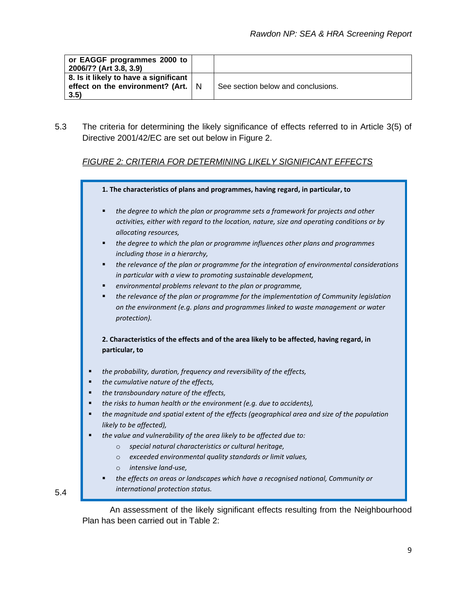| or EAGGF programmes 2000 to<br>2006/7? (Art 3.8, 3.9)                                       |                                    |
|---------------------------------------------------------------------------------------------|------------------------------------|
| 8. Is it likely to have a significant<br>effect on the environment? (Art. $\vert$ N<br>3.5) | See section below and conclusions. |

5.3 The criteria for determining the likely significance of effects referred to in Article 3(5) of Directive 2001/42/EC are set out below in Figure 2.

#### *FIGURE 2: CRITERIA FOR DETERMINING LIKELY SIGNIFICANT EFFECTS*



5.4

An assessment of the likely significant effects resulting from the Neighbourhood Plan has been carried out in Table 2: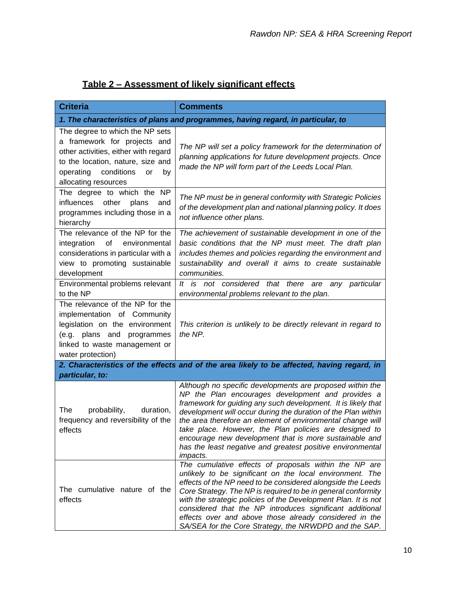#### **Table 2 – Assessment of likely significant effects**

| <b>Criteria</b>                                                                                                                                                                                                 | <b>Comments</b>                                                                                                                                                                                                                                                                                                                                                                                                                                                                                                     |  |  |  |  |  |
|-----------------------------------------------------------------------------------------------------------------------------------------------------------------------------------------------------------------|---------------------------------------------------------------------------------------------------------------------------------------------------------------------------------------------------------------------------------------------------------------------------------------------------------------------------------------------------------------------------------------------------------------------------------------------------------------------------------------------------------------------|--|--|--|--|--|
| 1. The characteristics of plans and programmes, having regard, in particular, to                                                                                                                                |                                                                                                                                                                                                                                                                                                                                                                                                                                                                                                                     |  |  |  |  |  |
| The degree to which the NP sets<br>a framework for projects and<br>other activities, either with regard<br>to the location, nature, size and<br>operating conditions<br><b>or</b><br>by<br>allocating resources | The NP will set a policy framework for the determination of<br>planning applications for future development projects. Once<br>made the NP will form part of the Leeds Local Plan.                                                                                                                                                                                                                                                                                                                                   |  |  |  |  |  |
| The degree to which the NP<br>influences<br>other<br>plans<br>and<br>programmes including those in a<br>hierarchy                                                                                               | The NP must be in general conformity with Strategic Policies<br>of the development plan and national planning policy. It does<br>not influence other plans.                                                                                                                                                                                                                                                                                                                                                         |  |  |  |  |  |
| The relevance of the NP for the<br>of<br>environmental<br>integration<br>considerations in particular with a<br>view to promoting sustainable<br>development                                                    | The achievement of sustainable development in one of the<br>basic conditions that the NP must meet. The draft plan<br>includes themes and policies regarding the environment and<br>sustainability and overall it aims to create sustainable<br>communities.                                                                                                                                                                                                                                                        |  |  |  |  |  |
| Environmental problems relevant<br>to the NP                                                                                                                                                                    | It is not considered that there are<br>any particular<br>environmental problems relevant to the plan.                                                                                                                                                                                                                                                                                                                                                                                                               |  |  |  |  |  |
| The relevance of the NP for the<br>implementation of Community<br>legislation on the environment<br>(e.g. plans and<br>programmes<br>linked to waste management or<br>water protection)                         | This criterion is unlikely to be directly relevant in regard to<br>the NP.                                                                                                                                                                                                                                                                                                                                                                                                                                          |  |  |  |  |  |
|                                                                                                                                                                                                                 | 2. Characteristics of the effects and of the area likely to be affected, having regard, in                                                                                                                                                                                                                                                                                                                                                                                                                          |  |  |  |  |  |
| particular, to:<br>The<br>probability,<br>duration,<br>frequency and reversibility of the<br>effects                                                                                                            | Although no specific developments are proposed within the<br>NP the Plan encourages development and provides a<br>framework for guiding any such development. It is likely that<br>development will occur during the duration of the Plan within<br>the area therefore an element of environmental change will<br>take place. However, the Plan policies are designed to<br>encourage new development that is more sustainable and<br>has the least negative and greatest positive environmental<br><i>impacts.</i> |  |  |  |  |  |
| The cumulative nature of the<br>effects                                                                                                                                                                         | The cumulative effects of proposals within the NP are<br>unlikely to be significant on the local environment. The<br>effects of the NP need to be considered alongside the Leeds<br>Core Strategy. The NP is required to be in general conformity<br>with the strategic policies of the Development Plan. It is not<br>considered that the NP introduces significant additional<br>effects over and above those already considered in the<br>SA/SEA for the Core Strategy, the NRWDPD and the SAP.                  |  |  |  |  |  |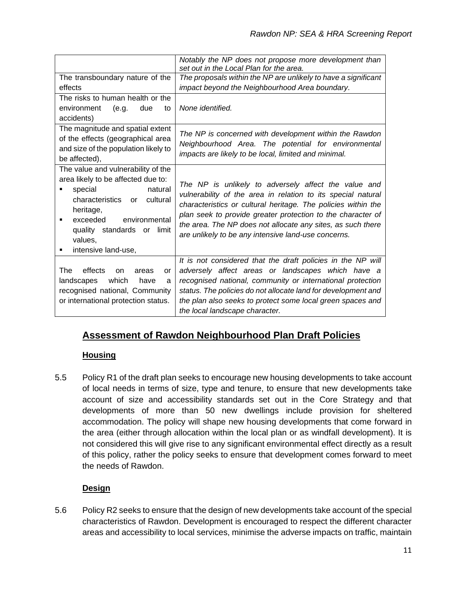|                                                                                     | Notably the NP does not propose more development than<br>set out in the Local Plan for the area. |
|-------------------------------------------------------------------------------------|--------------------------------------------------------------------------------------------------|
| The transboundary nature of the                                                     | The proposals within the NP are unlikely to have a significant                                   |
| effects                                                                             | impact beyond the Neighbourhood Area boundary.                                                   |
| The risks to human health or the<br>environment<br>(e.g.<br>due<br>to<br>accidents) | None identified.                                                                                 |
| The magnitude and spatial extent                                                    | The NP is concerned with development within the Rawdon                                           |
| of the effects (geographical area                                                   | Neighbourhood Area. The potential for environmental                                              |
| and size of the population likely to                                                | impacts are likely to be local, limited and minimal.                                             |
| be affected),                                                                       |                                                                                                  |
| The value and vulnerability of the<br>area likely to be affected due to:            | The NP is unlikely to adversely affect the value and                                             |
| special<br>natural<br>characteristics or cultural                                   | vulnerability of the area in relation to its special natural                                     |
| heritage,                                                                           | characteristics or cultural heritage. The policies within the                                    |
| exceeded<br>environmental<br>٠                                                      | plan seek to provide greater protection to the character of                                      |
| quality standards or limit                                                          | the area. The NP does not allocate any sites, as such there                                      |
| values,                                                                             | are unlikely to be any intensive land-use concerns.                                              |
| intensive land-use,<br>٠                                                            |                                                                                                  |
|                                                                                     | It is not considered that the draft policies in the NP will                                      |
| effects<br>The<br>on<br>areas<br>or                                                 | adversely affect areas or landscapes which have a                                                |
| which<br>landscapes<br>have<br>a                                                    | recognised national, community or international protection                                       |
| recognised national, Community                                                      | status. The policies do not allocate land for development and                                    |
| or international protection status.                                                 | the plan also seeks to protect some local green spaces and<br>the local landscape character.     |

#### **Assessment of Rawdon Neighbourhood Plan Draft Policies**

#### **Housing**

5.5 Policy R1 of the draft plan seeks to encourage new housing developments to take account of local needs in terms of size, type and tenure, to ensure that new developments take account of size and accessibility standards set out in the Core Strategy and that developments of more than 50 new dwellings include provision for sheltered accommodation. The policy will shape new housing developments that come forward in the area (either through allocation within the local plan or as windfall development). It is not considered this will give rise to any significant environmental effect directly as a result of this policy, rather the policy seeks to ensure that development comes forward to meet the needs of Rawdon.

#### **Design**

5.6 Policy R2 seeks to ensure that the design of new developments take account of the special characteristics of Rawdon. Development is encouraged to respect the different character areas and accessibility to local services, minimise the adverse impacts on traffic, maintain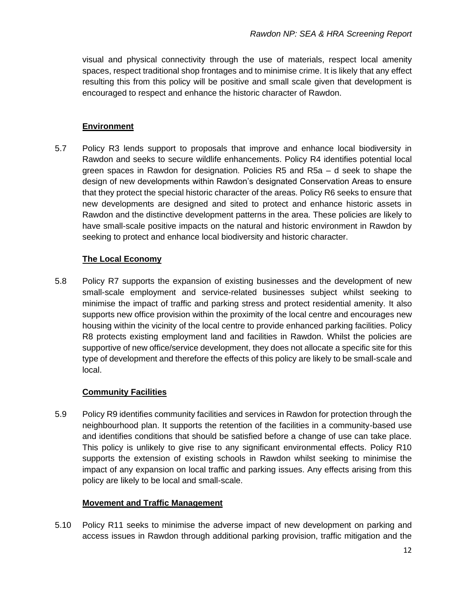visual and physical connectivity through the use of materials, respect local amenity spaces, respect traditional shop frontages and to minimise crime. It is likely that any effect resulting this from this policy will be positive and small scale given that development is encouraged to respect and enhance the historic character of Rawdon.

#### **Environment**

5.7 Policy R3 lends support to proposals that improve and enhance local biodiversity in Rawdon and seeks to secure wildlife enhancements. Policy R4 identifies potential local green spaces in Rawdon for designation. Policies R5 and R5a – d seek to shape the design of new developments within Rawdon's designated Conservation Areas to ensure that they protect the special historic character of the areas. Policy R6 seeks to ensure that new developments are designed and sited to protect and enhance historic assets in Rawdon and the distinctive development patterns in the area. These policies are likely to have small-scale positive impacts on the natural and historic environment in Rawdon by seeking to protect and enhance local biodiversity and historic character.

#### **The Local Economy**

5.8 Policy R7 supports the expansion of existing businesses and the development of new small-scale employment and service-related businesses subject whilst seeking to minimise the impact of traffic and parking stress and protect residential amenity. It also supports new office provision within the proximity of the local centre and encourages new housing within the vicinity of the local centre to provide enhanced parking facilities. Policy R8 protects existing employment land and facilities in Rawdon. Whilst the policies are supportive of new office/service development, they does not allocate a specific site for this type of development and therefore the effects of this policy are likely to be small-scale and local.

#### **Community Facilities**

5.9 Policy R9 identifies community facilities and services in Rawdon for protection through the neighbourhood plan. It supports the retention of the facilities in a community-based use and identifies conditions that should be satisfied before a change of use can take place. This policy is unlikely to give rise to any significant environmental effects. Policy R10 supports the extension of existing schools in Rawdon whilst seeking to minimise the impact of any expansion on local traffic and parking issues. Any effects arising from this policy are likely to be local and small-scale.

#### **Movement and Traffic Management**

5.10 Policy R11 seeks to minimise the adverse impact of new development on parking and access issues in Rawdon through additional parking provision, traffic mitigation and the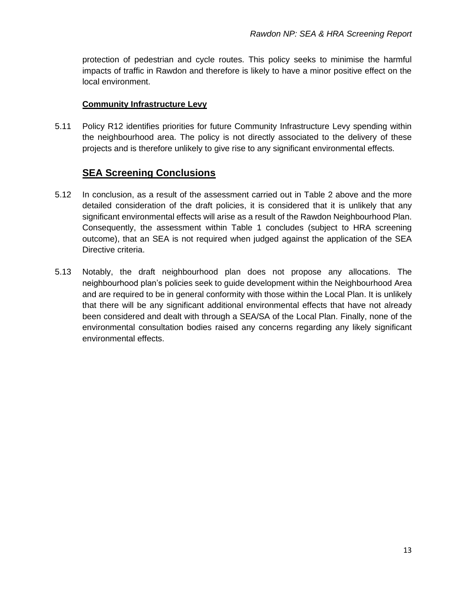protection of pedestrian and cycle routes. This policy seeks to minimise the harmful impacts of traffic in Rawdon and therefore is likely to have a minor positive effect on the local environment.

#### **Community Infrastructure Levy**

5.11 Policy R12 identifies priorities for future Community Infrastructure Levy spending within the neighbourhood area. The policy is not directly associated to the delivery of these projects and is therefore unlikely to give rise to any significant environmental effects.

#### **SEA Screening Conclusions**

- 5.12 In conclusion, as a result of the assessment carried out in Table 2 above and the more detailed consideration of the draft policies, it is considered that it is unlikely that any significant environmental effects will arise as a result of the Rawdon Neighbourhood Plan. Consequently, the assessment within Table 1 concludes (subject to HRA screening outcome), that an SEA is not required when judged against the application of the SEA Directive criteria.
- 5.13 Notably, the draft neighbourhood plan does not propose any allocations. The neighbourhood plan's policies seek to guide development within the Neighbourhood Area and are required to be in general conformity with those within the Local Plan. It is unlikely that there will be any significant additional environmental effects that have not already been considered and dealt with through a SEA/SA of the Local Plan. Finally, none of the environmental consultation bodies raised any concerns regarding any likely significant environmental effects.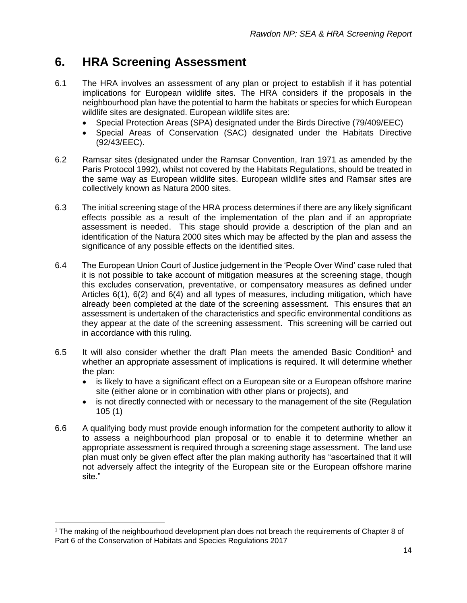### **6. HRA Screening Assessment**

- 6.1 The HRA involves an assessment of any plan or project to establish if it has potential implications for European wildlife sites. The HRA considers if the proposals in the neighbourhood plan have the potential to harm the habitats or species for which European wildlife sites are designated. European wildlife sites are:
	- Special Protection Areas (SPA) designated under the Birds Directive (79/409/EEC)
	- Special Areas of Conservation (SAC) designated under the Habitats Directive (92/43/EEC).
- 6.2 Ramsar sites (designated under the Ramsar Convention, Iran 1971 as amended by the Paris Protocol 1992), whilst not covered by the Habitats Regulations, should be treated in the same way as European wildlife sites. European wildlife sites and Ramsar sites are collectively known as Natura 2000 sites.
- 6.3 The initial screening stage of the HRA process determines if there are any likely significant effects possible as a result of the implementation of the plan and if an appropriate assessment is needed. This stage should provide a description of the plan and an identification of the Natura 2000 sites which may be affected by the plan and assess the significance of any possible effects on the identified sites.
- 6.4 The European Union Court of Justice judgement in the 'People Over Wind' case ruled that it is not possible to take account of mitigation measures at the screening stage, though this excludes conservation, preventative, or compensatory measures as defined under Articles 6(1), 6(2) and 6(4) and all types of measures, including mitigation, which have already been completed at the date of the screening assessment. This ensures that an assessment is undertaken of the characteristics and specific environmental conditions as they appear at the date of the screening assessment. This screening will be carried out in accordance with this ruling.
- 6.5 It will also consider whether the draft Plan meets the amended Basic Condition<sup>1</sup> and whether an appropriate assessment of implications is required. It will determine whether the plan:
	- is likely to have a significant effect on a European site or a European offshore marine site (either alone or in combination with other plans or projects), and
	- is not directly connected with or necessary to the management of the site (Regulation 105 (1)
- 6.6 A qualifying body must provide enough information for the competent authority to allow it to assess a neighbourhood plan proposal or to enable it to determine whether an appropriate assessment is required through a screening stage assessment. The land use plan must only be given effect after the plan making authority has "ascertained that it will not adversely affect the integrity of the European site or the European offshore marine site."

<sup>&</sup>lt;sup>1</sup> The making of the neighbourhood development plan does not breach the requirements of Chapter 8 of Part 6 of the Conservation of Habitats and Species Regulations 2017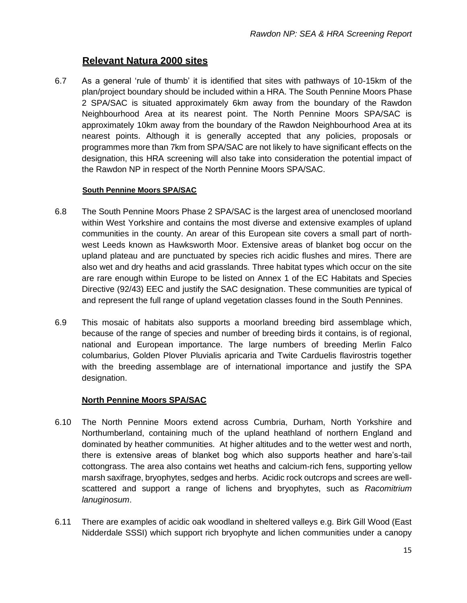#### **Relevant Natura 2000 sites**

6.7 As a general 'rule of thumb' it is identified that sites with pathways of 10-15km of the plan/project boundary should be included within a HRA. The South Pennine Moors Phase 2 SPA/SAC is situated approximately 6km away from the boundary of the Rawdon Neighbourhood Area at its nearest point. The North Pennine Moors SPA/SAC is approximately 10km away from the boundary of the Rawdon Neighbourhood Area at its nearest points. Although it is generally accepted that any policies, proposals or programmes more than 7km from SPA/SAC are not likely to have significant effects on the designation, this HRA screening will also take into consideration the potential impact of the Rawdon NP in respect of the North Pennine Moors SPA/SAC.

#### **South Pennine Moors SPA/SAC**

- 6.8 The South Pennine Moors Phase 2 SPA/SAC is the largest area of unenclosed moorland within West Yorkshire and contains the most diverse and extensive examples of upland communities in the county. An arear of this European site covers a small part of northwest Leeds known as Hawksworth Moor. Extensive areas of blanket bog occur on the upland plateau and are punctuated by species rich acidic flushes and mires. There are also wet and dry heaths and acid grasslands. Three habitat types which occur on the site are rare enough within Europe to be listed on Annex 1 of the EC Habitats and Species Directive (92/43) EEC and justify the SAC designation. These communities are typical of and represent the full range of upland vegetation classes found in the South Pennines.
- 6.9 This mosaic of habitats also supports a moorland breeding bird assemblage which, because of the range of species and number of breeding birds it contains, is of regional, national and European importance. The large numbers of breeding Merlin Falco columbarius, Golden Plover Pluvialis apricaria and Twite Carduelis flavirostris together with the breeding assemblage are of international importance and justify the SPA designation.

#### **North Pennine Moors SPA/SAC**

- 6.10 The North Pennine Moors extend across Cumbria, Durham, North Yorkshire and Northumberland, containing much of the upland heathland of northern England and dominated by heather communities. At higher altitudes and to the wetter west and north, there is extensive areas of blanket bog which also supports heather and hare's-tail cottongrass. The area also contains wet heaths and calcium-rich fens, supporting yellow marsh saxifrage, bryophytes, sedges and herbs. Acidic rock outcrops and screes are wellscattered and support a range of lichens and bryophytes, such as *Racomitrium lanuginosum*.
- 6.11 There are examples of acidic oak woodland in sheltered valleys e.g. Birk Gill Wood (East Nidderdale SSSI) which support rich bryophyte and lichen communities under a canopy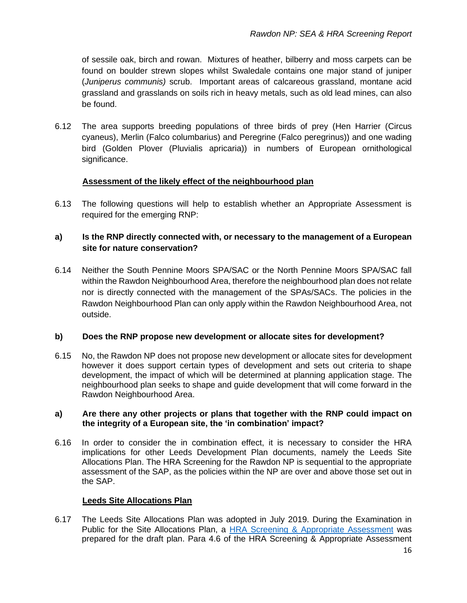of sessile oak, birch and rowan. Mixtures of heather, bilberry and moss carpets can be found on boulder strewn slopes whilst Swaledale contains one major stand of juniper (*Juniperus communis)* scrub. Important areas of calcareous grassland, montane acid grassland and grasslands on soils rich in heavy metals, such as old lead mines, can also be found.

6.12 The area supports breeding populations of three birds of prey (Hen Harrier (Circus cyaneus), Merlin (Falco columbarius) and Peregrine (Falco peregrinus)) and one wading bird (Golden Plover (Pluvialis apricaria)) in numbers of European ornithological significance.

#### **Assessment of the likely effect of the neighbourhood plan**

6.13 The following questions will help to establish whether an Appropriate Assessment is required for the emerging RNP:

#### **a) Is the RNP directly connected with, or necessary to the management of a European site for nature conservation?**

6.14 Neither the South Pennine Moors SPA/SAC or the North Pennine Moors SPA/SAC fall within the Rawdon Neighbourhood Area, therefore the neighbourhood plan does not relate nor is directly connected with the management of the SPAs/SACs. The policies in the Rawdon Neighbourhood Plan can only apply within the Rawdon Neighbourhood Area, not outside.

#### **b) Does the RNP propose new development or allocate sites for development?**

6.15 No, the Rawdon NP does not propose new development or allocate sites for development however it does support certain types of development and sets out criteria to shape development, the impact of which will be determined at planning application stage. The neighbourhood plan seeks to shape and guide development that will come forward in the Rawdon Neighbourhood Area.

#### **a) Are there any other projects or plans that together with the RNP could impact on the integrity of a European site, the 'in combination' impact?**

6.16 In order to consider the in combination effect, it is necessary to consider the HRA implications for other Leeds Development Plan documents, namely the Leeds Site Allocations Plan. The HRA Screening for the Rawdon NP is sequential to the appropriate assessment of the SAP, as the policies within the NP are over and above those set out in the SAP.

#### **Leeds Site Allocations Plan**

6.17 The Leeds Site Allocations Plan was adopted in July 2019. During the Examination in Public for the Site Allocations Plan, a [HRA Screening & Appropriate Assessment](http://www.hwa.uk.com/mwg-internal/de5fs23hu73ds/progress?id=gN44t9CU5o1EwL7FzP3ejsHOBLITrmGCfBPmW320mPg,) was prepared for the draft plan. Para 4.6 of the HRA Screening & Appropriate Assessment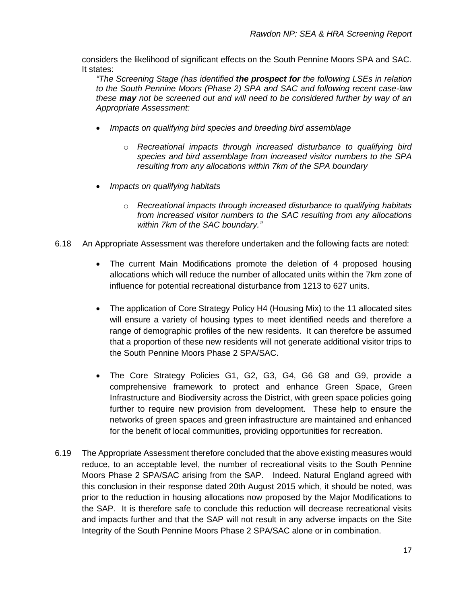considers the likelihood of significant effects on the South Pennine Moors SPA and SAC. It states:

*"The Screening Stage (has identified the prospect for the following LSEs in relation to the South Pennine Moors (Phase 2) SPA and SAC and following recent case-law these may not be screened out and will need to be considered further by way of an Appropriate Assessment:*

- *Impacts on qualifying bird species and breeding bird assemblage*
	- o *Recreational impacts through increased disturbance to qualifying bird species and bird assemblage from increased visitor numbers to the SPA resulting from any allocations within 7km of the SPA boundary*
- *Impacts on qualifying habitats*
	- o *Recreational impacts through increased disturbance to qualifying habitats from increased visitor numbers to the SAC resulting from any allocations within 7km of the SAC boundary."*
- 6.18 An Appropriate Assessment was therefore undertaken and the following facts are noted:
	- The current Main Modifications promote the deletion of 4 proposed housing allocations which will reduce the number of allocated units within the 7km zone of influence for potential recreational disturbance from 1213 to 627 units.
	- The application of Core Strategy Policy H4 (Housing Mix) to the 11 allocated sites will ensure a variety of housing types to meet identified needs and therefore a range of demographic profiles of the new residents. It can therefore be assumed that a proportion of these new residents will not generate additional visitor trips to the South Pennine Moors Phase 2 SPA/SAC.
	- The Core Strategy Policies G1, G2, G3, G4, G6 G8 and G9, provide a comprehensive framework to protect and enhance Green Space, Green Infrastructure and Biodiversity across the District, with green space policies going further to require new provision from development. These help to ensure the networks of green spaces and green infrastructure are maintained and enhanced for the benefit of local communities, providing opportunities for recreation.
- 6.19 The Appropriate Assessment therefore concluded that the above existing measures would reduce, to an acceptable level, the number of recreational visits to the South Pennine Moors Phase 2 SPA/SAC arising from the SAP. Indeed. Natural England agreed with this conclusion in their response dated 20th August 2015 which, it should be noted, was prior to the reduction in housing allocations now proposed by the Major Modifications to the SAP. It is therefore safe to conclude this reduction will decrease recreational visits and impacts further and that the SAP will not result in any adverse impacts on the Site Integrity of the South Pennine Moors Phase 2 SPA/SAC alone or in combination.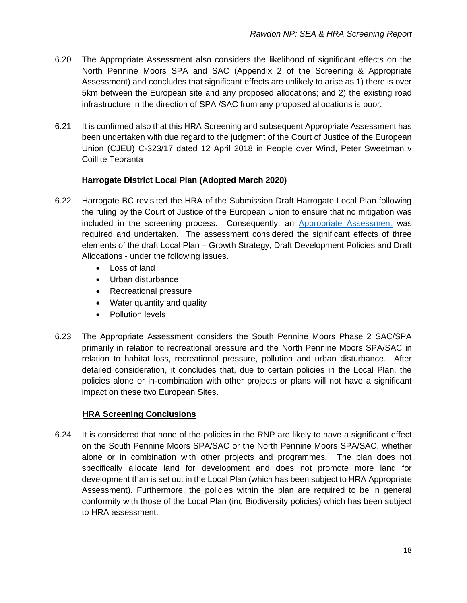- 6.20 The Appropriate Assessment also considers the likelihood of significant effects on the North Pennine Moors SPA and SAC (Appendix 2 of the Screening & Appropriate Assessment) and concludes that significant effects are unlikely to arise as 1) there is over 5km between the European site and any proposed allocations; and 2) the existing road infrastructure in the direction of SPA /SAC from any proposed allocations is poor.
- 6.21 It is confirmed also that this HRA Screening and subsequent Appropriate Assessment has been undertaken with due regard to the judgment of the Court of Justice of the European Union (CJEU) C-323/17 dated 12 April 2018 in People over Wind, Peter Sweetman v Coillite Teoranta

#### **Harrogate District Local Plan (Adopted March 2020)**

- 6.22 Harrogate BC revisited the HRA of the Submission Draft Harrogate Local Plan following the ruling by the Court of Justice of the European Union to ensure that no mitigation was included in the screening process. Consequently, an [Appropriate Assessment](https://www.harrogate.gov.uk/downloads/file/4115/hdlp_habitat_regulations_assessment_august_2018) was required and undertaken. The assessment considered the significant effects of three elements of the draft Local Plan – Growth Strategy, Draft Development Policies and Draft Allocations - under the following issues.
	- Loss of land
	- Urban disturbance
	- Recreational pressure
	- Water quantity and quality
	- Pollution levels
- 6.23 The Appropriate Assessment considers the South Pennine Moors Phase 2 SAC/SPA primarily in relation to recreational pressure and the North Pennine Moors SPA/SAC in relation to habitat loss, recreational pressure, pollution and urban disturbance. After detailed consideration, it concludes that, due to certain policies in the Local Plan, the policies alone or in-combination with other projects or plans will not have a significant impact on these two European Sites.

#### **HRA Screening Conclusions**

6.24 It is considered that none of the policies in the RNP are likely to have a significant effect on the South Pennine Moors SPA/SAC or the North Pennine Moors SPA/SAC, whether alone or in combination with other projects and programmes. The plan does not specifically allocate land for development and does not promote more land for development than is set out in the Local Plan (which has been subject to HRA Appropriate Assessment). Furthermore, the policies within the plan are required to be in general conformity with those of the Local Plan (inc Biodiversity policies) which has been subject to HRA assessment.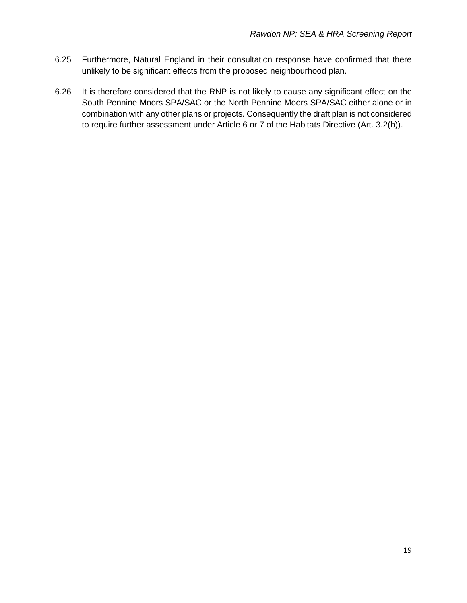- 6.25 Furthermore, Natural England in their consultation response have confirmed that there unlikely to be significant effects from the proposed neighbourhood plan.
- 6.26 It is therefore considered that the RNP is not likely to cause any significant effect on the South Pennine Moors SPA/SAC or the North Pennine Moors SPA/SAC either alone or in combination with any other plans or projects. Consequently the draft plan is not considered to require further assessment under Article 6 or 7 of the Habitats Directive (Art. 3.2(b)).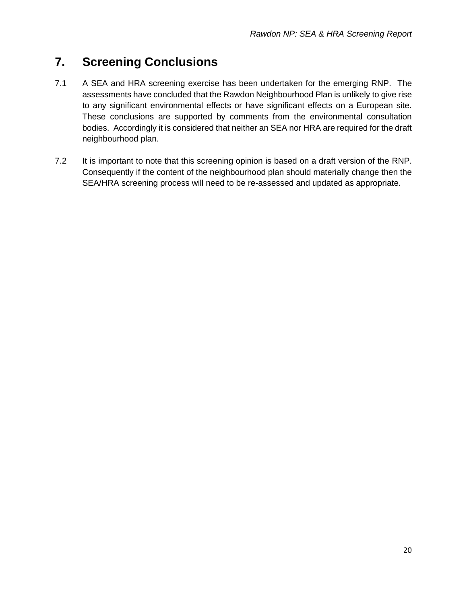## **7. Screening Conclusions**

- 7.1 A SEA and HRA screening exercise has been undertaken for the emerging RNP. The assessments have concluded that the Rawdon Neighbourhood Plan is unlikely to give rise to any significant environmental effects or have significant effects on a European site. These conclusions are supported by comments from the environmental consultation bodies. Accordingly it is considered that neither an SEA nor HRA are required for the draft neighbourhood plan.
- 7.2 It is important to note that this screening opinion is based on a draft version of the RNP. Consequently if the content of the neighbourhood plan should materially change then the SEA/HRA screening process will need to be re-assessed and updated as appropriate.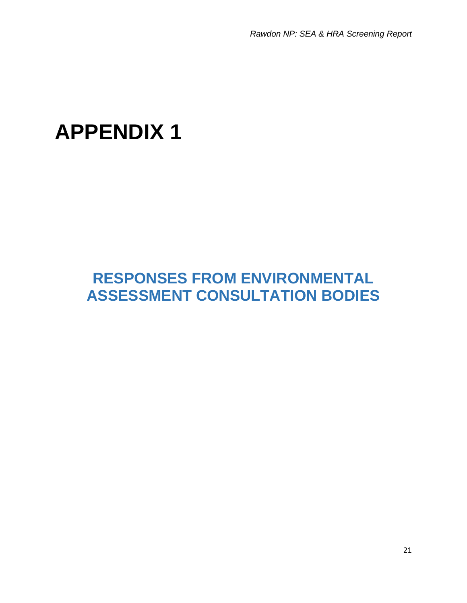*Rawdon NP: SEA & HRA Screening Report*

# **APPENDIX 1**

## **RESPONSES FROM ENVIRONMENTAL ASSESSMENT CONSULTATION BODIES**